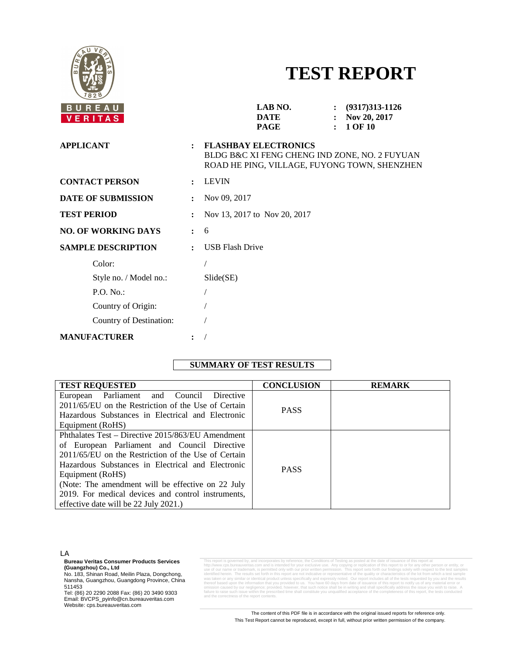

# **TEST REPORT**

|                      | LAB NO.<br>$: (9317)313-1126$<br><b>DATE</b><br>Nov 20, 2017<br>$\mathbf{r}$<br>1 OF 10<br><b>PAGE</b><br>$\ddot{\cdot}$     |
|----------------------|------------------------------------------------------------------------------------------------------------------------------|
| $\ddot{\phantom{a}}$ | <b>FLASHBAY ELECTRONICS</b><br>BLDG B&C XI FENG CHENG IND ZONE, NO. 2 FUYUAN<br>ROAD HE PING, VILLAGE, FUYONG TOWN, SHENZHEN |
| $\ddot{\phantom{a}}$ | <b>LEVIN</b>                                                                                                                 |
|                      | Nov 09, 2017                                                                                                                 |
| $\ddot{\cdot}$       | Nov 13, 2017 to Nov 20, 2017                                                                                                 |
| $\mathbf{L}$         | 6                                                                                                                            |
| $\ddot{\cdot}$       | <b>USB Flash Drive</b>                                                                                                       |
|                      |                                                                                                                              |
|                      | $S$ lide $(SE)$                                                                                                              |
|                      |                                                                                                                              |
|                      |                                                                                                                              |
|                      |                                                                                                                              |
|                      |                                                                                                                              |
|                      |                                                                                                                              |

# **SUMMARY OF TEST RESULTS**

| <b>TEST REQUESTED</b>                               | <b>CONCLUSION</b> | <b>REMARK</b> |
|-----------------------------------------------------|-------------------|---------------|
| European Parliament and Council Directive           |                   |               |
| 2011/65/EU on the Restriction of the Use of Certain | <b>PASS</b>       |               |
| Hazardous Substances in Electrical and Electronic   |                   |               |
| Equipment (RoHS)                                    |                   |               |
| Phthalates Test – Directive 2015/863/EU Amendment   |                   |               |
| of European Parliament and Council Directive        |                   |               |
| 2011/65/EU on the Restriction of the Use of Certain | <b>PASS</b>       |               |
| Hazardous Substances in Electrical and Electronic   |                   |               |
| Equipment (RoHS)                                    |                   |               |
| (Note: The amendment will be effective on 22 July   |                   |               |
| 2019. For medical devices and control instruments,  |                   |               |
| effective date will be 22 July 2021.)               |                   |               |

LA

**Bureau Veritas Consumer Products Services**

**(Guangzhou) Co., Ltd**<br>No. 183, Shinan Road, Meilin Plaza, Dongchong,<br>Nansha, Guangzhou, Guangdong Province, China 511453

Tel: (86) 20 2290 2088 Fax: (86) 20 3490 9303 Email: BVCPS\_pyinfo@cn.bureauveritas.com Website: cps.bureauveritas.com

This report is governed by, and incorporates by reference, the Conditions of Testing as posted at the date of issuance of this report at his report at the method of the method of the method of the method of the method of t thereof based upon the information that you provided to us. You have 60 days from date of issuance of this rep<br>omission caused by our negligence; provided, however, that such notice shall be in writing and shall specifical

> The content of this PDF file is in accordance with the original issued reports for reference only. This Test Report cannot be reproduced, except in full, without prior written permission of the company.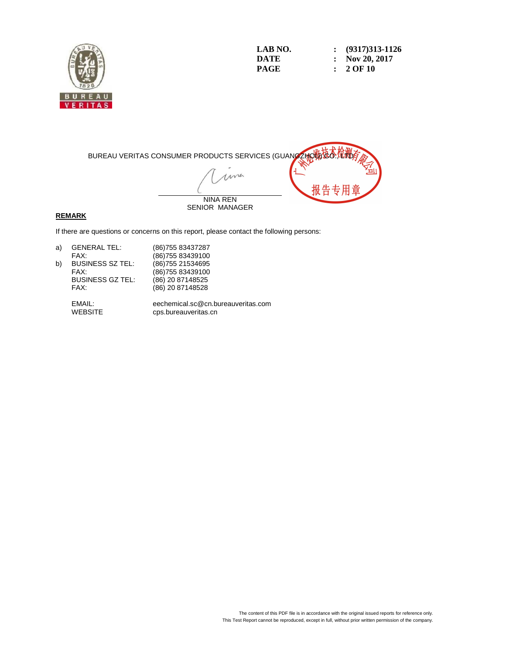

| LAB NO. | $\colon$ (9317)313-1126 |
|---------|-------------------------|
| DATE    | : Nov 20, 2017          |
| PAGE    | $: 2$ OF 10             |



#### **REMARK**

If there are questions or concerns on this report, please contact the following persons:

| <b>GENERAL TEL:</b>     | (86) 755 83437287  |
|-------------------------|--------------------|
| FAX:                    | (86) 755 83439100  |
| <b>BUSINESS SZ TEL:</b> | (86) 755 21534 695 |
| FAX:                    | (86) 755 83439100  |
| <b>BUSINESS GZ TEL:</b> | (86) 20 87148525   |
| FAX:                    | (86) 20 87148528   |
|                         |                    |

 EMAIL: eechemical.sc@cn.bureauveritas.com cps.bureauveritas.cn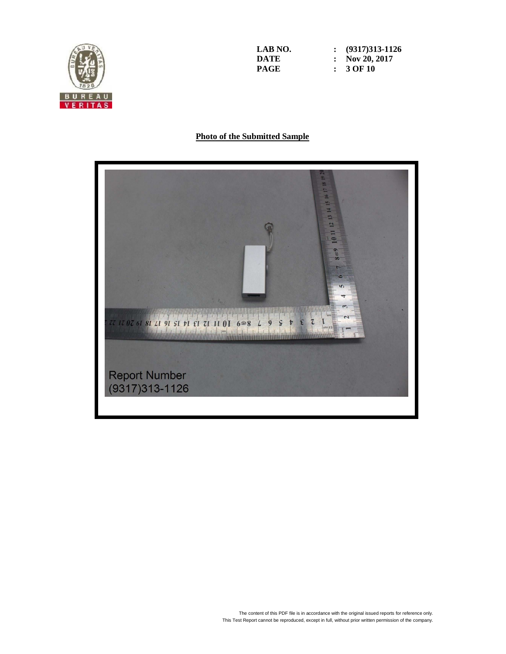

**LAB NO. : (9317)313-1126 DATE : Nov 20, 2017 PAGE : 3 OF 10** 

#### **Photo of the Submitted Sample**

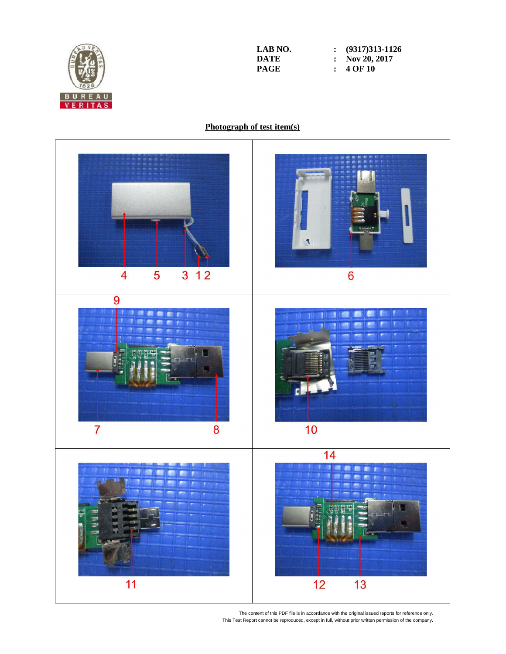

**LAB NO. : (9317)313-1126 DATE : Nov 20, 2017**<br>**PAGE : 4 OF 10 PAGE : 4 OF 10** 

# **Photograph of test item(s)**



The content of this PDF file is in accordance with the original issued reports for reference only. This Test Report cannot be reproduced, except in full, without prior written permission of the company.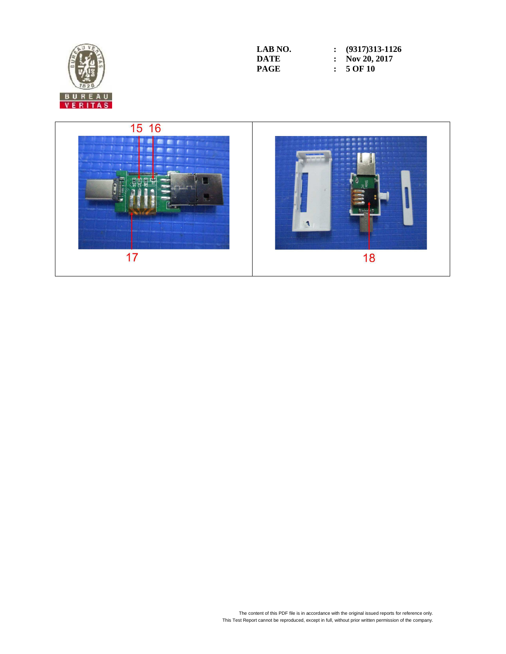

| LAB NO. | $\colon$ (9317)313-1126 |
|---------|-------------------------|
| DATE    | : Nov 20, 2017          |
| PAGE    | $: 5$ OF 10             |

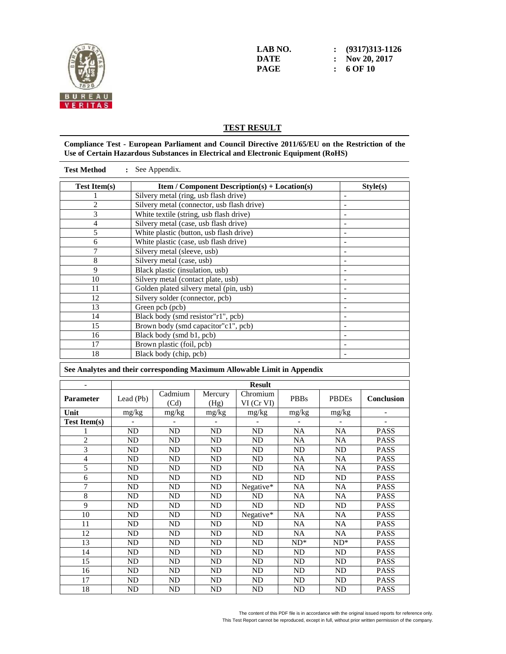

**LAB NO. : (9317)313-1126 DATE : Nov 20, 2017 PAGE : 6 OF 10** 

## **TEST RESULT**

#### **Compliance Test - European Parliament and Council Directive 2011/65/EU on the Restriction of the Use of Certain Hazardous Substances in Electrical and Electronic Equipment (RoHS)**

| : See Appendix.<br><b>Test Method</b>                                    |                              |                                            |                 |                                                      |                     |                          |                            |
|--------------------------------------------------------------------------|------------------------------|--------------------------------------------|-----------------|------------------------------------------------------|---------------------|--------------------------|----------------------------|
| <b>Test Item(s)</b>                                                      |                              |                                            |                 | <b>Item / Component Description(s) + Location(s)</b> |                     |                          | Style(s)                   |
|                                                                          |                              | Silvery metal (ring, usb flash drive)      |                 |                                                      |                     |                          |                            |
| $\overline{c}$                                                           |                              | Silvery metal (connector, usb flash drive) |                 |                                                      |                     |                          |                            |
| $\overline{\mathbf{3}}$                                                  |                              | White textile (string, usb flash drive)    |                 |                                                      |                     | $\overline{\phantom{a}}$ |                            |
| $\overline{4}$                                                           |                              | Silvery metal (case, usb flash drive)      |                 |                                                      |                     | $\overline{a}$           |                            |
| 5                                                                        |                              | White plastic (button, usb flash drive)    |                 |                                                      |                     | $\overline{a}$           |                            |
| 6                                                                        |                              | White plastic (case, usb flash drive)      |                 |                                                      |                     | $\frac{1}{2}$            |                            |
| 7                                                                        |                              | Silvery metal (sleeve, usb)                |                 |                                                      |                     | $\overline{a}$           |                            |
| $\overline{8}$                                                           |                              | Silvery metal (case, usb)                  |                 |                                                      |                     | $\overline{a}$           |                            |
| 9                                                                        |                              | Black plastic (insulation, usb)            |                 |                                                      |                     | $\overline{a}$           |                            |
| 10                                                                       |                              | Silvery metal (contact plate, usb)         |                 |                                                      |                     |                          |                            |
| 11                                                                       |                              | Golden plated silvery metal (pin, usb)     |                 |                                                      |                     | $\overline{\phantom{m}}$ |                            |
| 12                                                                       |                              | Silvery solder (connector, pcb)            |                 |                                                      |                     | $\overline{a}$           |                            |
| 13                                                                       |                              | Green pcb (pcb)                            |                 |                                                      |                     | $\overline{a}$           |                            |
| 14                                                                       |                              | Black body (smd resistor"r1", pcb)         |                 |                                                      |                     | $\overline{a}$           |                            |
| $\overline{15}$                                                          |                              | Brown body (smd capacitor"c1", pcb)        |                 |                                                      |                     | $\overline{a}$           |                            |
| $\overline{16}$                                                          |                              | Black body (smd b1, pcb)                   |                 |                                                      |                     | $\overline{a}$           |                            |
| 17                                                                       |                              | Brown plastic (foil, pcb)                  |                 |                                                      |                     | $\frac{1}{2}$            |                            |
| 18                                                                       |                              | Black body (chip, pcb)                     |                 |                                                      |                     |                          |                            |
| See Analytes and their corresponding Maximum Allowable Limit in Appendix |                              |                                            |                 |                                                      |                     |                          |                            |
| $\overline{a}$                                                           |                              |                                            |                 |                                                      |                     |                          |                            |
|                                                                          |                              |                                            |                 |                                                      |                     |                          |                            |
|                                                                          |                              |                                            |                 | <b>Result</b>                                        |                     |                          |                            |
| <b>Parameter</b>                                                         | Lead (Pb)                    | Cadmium<br>(Cd)                            | Mercury<br>(Hg) | Chromium<br>VI (Cr VI)                               | <b>PBBs</b>         | <b>PBDEs</b>             | <b>Conclusion</b>          |
| Unit                                                                     | mg/kg                        | mg/kg                                      | mg/kg           | mg/kg                                                | mg/kg               | mg/kg                    |                            |
| <b>Test Item(s)</b>                                                      |                              |                                            |                 |                                                      |                     |                          |                            |
| 1                                                                        | ND                           | ND                                         | ND              | <b>ND</b>                                            | <b>NA</b>           | <b>NA</b>                | <b>PASS</b>                |
| $\overline{c}$                                                           | ${\rm ND}$                   | ND                                         | $\overline{ND}$ | ND                                                   | NA                  | NA                       | <b>PASS</b>                |
| $\overline{3}$                                                           | ND                           | <b>ND</b>                                  | <b>ND</b>       | <b>ND</b>                                            | <b>ND</b>           | <b>ND</b>                | <b>PASS</b>                |
| 4                                                                        | ${\rm ND}$                   | <b>ND</b>                                  | ND              | ND                                                   | <b>NA</b>           | <b>NA</b>                | <b>PASS</b>                |
| 5                                                                        | $\overline{ND}$              | <b>ND</b>                                  | ND              | ND                                                   | $\overline{NA}$     | <b>NA</b>                | <b>PASS</b>                |
| 6                                                                        | ${\rm ND}$                   | ND                                         | $\rm ND$        | $\overline{ND}$                                      | $\overline{\rm ND}$ | ${\rm ND}$               | <b>PASS</b>                |
| 7                                                                        | ND                           | ND                                         | ND              | Negative*                                            | NA                  | <b>NA</b>                | <b>PASS</b>                |
| $\overline{8}$                                                           | ND                           | ND                                         | ND              | ND                                                   | $\overline{NA}$     | <b>NA</b>                | <b>PASS</b>                |
| 9                                                                        | $\overline{ND}$              | ND                                         | $\overline{ND}$ | $\overline{ND}$                                      | $\overline{ND}$     | $\overline{ND}$          | <b>PASS</b>                |
| $\overline{10}$                                                          | $\overline{ND}$              | $\overline{ND}$                            | $\overline{ND}$ | Negative*                                            | $\overline{NA}$     | $\overline{NA}$          | <b>PASS</b>                |
| $\overline{11}$                                                          | $\overline{ND}$              | ND                                         | ND              | ND                                                   | <b>NA</b>           | $\overline{NA}$          | <b>PASS</b>                |
| $\overline{12}$                                                          | $\overline{ND}$              | ND                                         | $\overline{ND}$ | $\overline{ND}$                                      | $\overline{NA}$     | <b>NA</b>                | <b>PASS</b>                |
| 13                                                                       | <b>ND</b>                    | <b>ND</b>                                  | <b>ND</b>       | <b>ND</b>                                            | $ND^*$              | $ND^*$                   | <b>PASS</b>                |
| 14                                                                       | $\overline{ND}$              | $\overline{ND}$                            | $\overline{ND}$ | $\overline{ND}$                                      | $\overline{ND}$     | $\overline{ND}$          | <b>PASS</b>                |
| 15                                                                       | $\overline{ND}$              | $\overline{ND}$                            | $\overline{ND}$ | $\overline{ND}$                                      | $\overline{ND}$     | $\overline{ND}$          | <b>PASS</b>                |
| 16                                                                       | ND                           | ND                                         | ND              | N <sub>D</sub>                                       | $\overline{ND}$     | <b>ND</b>                | <b>PASS</b>                |
| 17<br>18                                                                 | <b>ND</b><br>$\overline{ND}$ | $\rm ND$<br>ND                             | <b>ND</b><br>ND | ND<br>$\overline{ND}$                                | $\rm ND$<br>ND      | $\rm ND$<br>ND           | <b>PASS</b><br><b>PASS</b> |

The content of this PDF file is in accordance with the original issued reports for reference only. This Test Report cannot be reproduced, except in full, without prior written permission of the company.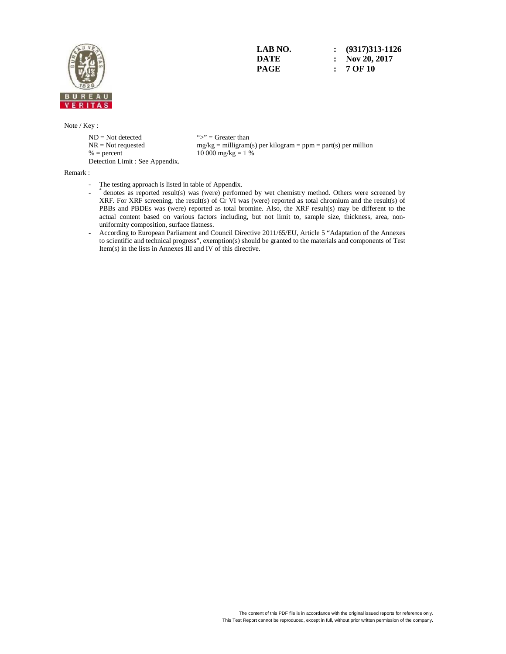

**LAB NO. : (9317)313-1126 DATE : Nov 20, 2017 PAGE : 7 OF 10** 

Note / Key :

 $ND = Not detected$  ">" = Greater than<br>  $NR = Not$  requested  $mg/kg = milligram$ Detection Limit : See Appendix.

 $NR = Not requested$  mg/kg = milligram(s) per kilogram = ppm = part(s) per million<br>% = percent 10 000 mg/kg = 1 %  $10\,000\,\text{mg/kg} = 1\%$ 

Remark :

- The testing approach is listed in table of Appendix.
- \* denotes as reported result(s) was (were) performed by wet chemistry method. Others were screened by XRF. For XRF screening, the result(s) of Cr VI was (were) reported as total chromium and the result(s) of PBBs and PBDEs was (were) reported as total bromine. Also, the XRF result(s) may be different to the actual content based on various factors including, but not limit to, sample size, thickness, area, nonuniformity composition, surface flatness.
	- According to European Parliament and Council Directive 2011/65/EU, Article 5 "Adaptation of the Annexes to scientific and technical progress", exemption(s) should be granted to the materials and components of Test Item(s) in the lists in Annexes III and IV of this directive.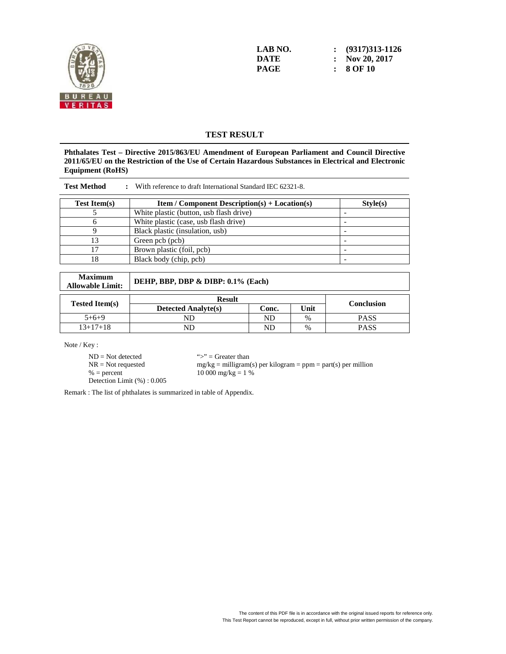

**LAB NO. : (9317)313-1126 DATE : Nov 20, 2017 PAGE : 8 OF 10** 

# **TEST RESULT**

**Phthalates Test – Directive 2015/863/EU Amendment of European Parliament and Council Directive 2011/65/EU on the Restriction of the Use of Certain Hazardous Substances in Electrical and Electronic Equipment (RoHS)** 

| <b>Test Method</b>  | With reference to draft International Standard IEC 62321-8. |          |
|---------------------|-------------------------------------------------------------|----------|
| <b>Test Item(s)</b> | <b>Item / Component Description(s) + Location(s)</b>        | Style(s) |
|                     | White plastic (button, usb flash drive)                     |          |
|                     | White plastic (case, usb flash drive)                       |          |
|                     | Black plastic (insulation, usb)                             |          |
|                     | Green pcb (pcb)                                             |          |
|                     | Brown plastic (foil, pcb)                                   |          |
| 18                  | Black body (chip, pcb)                                      |          |

| <b>Maximum</b><br><b>Allowable Limit:</b> | DEHP, BBP, DBP & DIBP: 0.1% (Each) |       |      |                   |  |
|-------------------------------------------|------------------------------------|-------|------|-------------------|--|
| <b>Result</b>                             |                                    |       |      |                   |  |
| <b>Tested Item(s)</b>                     | <b>Detected Analyte(s)</b>         | Conc. | Unit | <b>Conclusion</b> |  |
| $5+6+9$                                   | ND                                 | ND    | $\%$ | <b>PASS</b>       |  |
| $13+17+18$                                | ND                                 | ND    | $\%$ | <b>PASS</b>       |  |

Note / Key :

 $ND = Not detected$ <br> $NR = Not requested$   $mg/kg = milligram$ 

 $NR = Not requested$  mg/kg = milligram(s) per kilogram = ppm = part(s) per million<br>% = percent 10 000 mg/kg = 1 %  $10\,000\,\text{mg/kg} = 1\%$ 

Detection Limit (%) : 0.005

Remark : The list of phthalates is summarized in table of Appendix.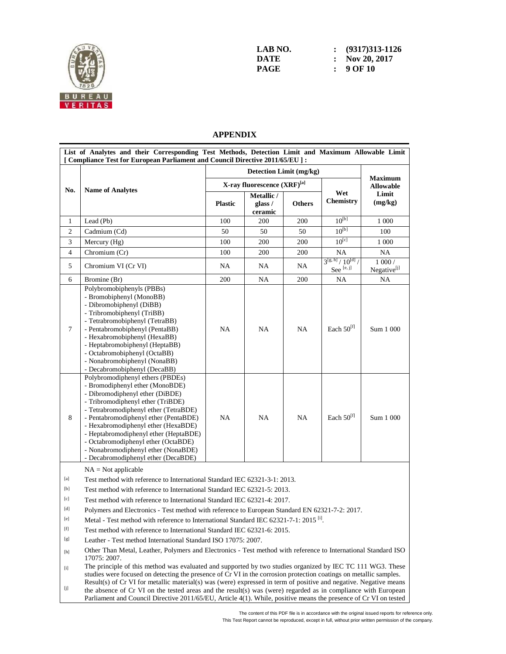

| LAB NO. | $\colon$ (9317)313-1126   |
|---------|---------------------------|
| DATE    | $\therefore$ Nov 20, 2017 |
| PAGE    | $: 9$ OF 10               |

## **APPENDIX**

|                                                                                                                                                                                                                                                                                                                                                                                                                                                                                                                                                                                                                                                                                                                                                                                                                                                                                                                  | List of Analytes and their Corresponding Test Methods, Detection Limit and Maximum Allowable Limit<br>[ Compliance Test for European Parliament and Council Directive 2011/65/EU ] :                                                                                                                                                                                                                                               |                             |                                  |               |                                                |                                    |  |
|------------------------------------------------------------------------------------------------------------------------------------------------------------------------------------------------------------------------------------------------------------------------------------------------------------------------------------------------------------------------------------------------------------------------------------------------------------------------------------------------------------------------------------------------------------------------------------------------------------------------------------------------------------------------------------------------------------------------------------------------------------------------------------------------------------------------------------------------------------------------------------------------------------------|------------------------------------------------------------------------------------------------------------------------------------------------------------------------------------------------------------------------------------------------------------------------------------------------------------------------------------------------------------------------------------------------------------------------------------|-----------------------------|----------------------------------|---------------|------------------------------------------------|------------------------------------|--|
|                                                                                                                                                                                                                                                                                                                                                                                                                                                                                                                                                                                                                                                                                                                                                                                                                                                                                                                  |                                                                                                                                                                                                                                                                                                                                                                                                                                    |                             | Detection Limit (mg/kg)          |               |                                                |                                    |  |
|                                                                                                                                                                                                                                                                                                                                                                                                                                                                                                                                                                                                                                                                                                                                                                                                                                                                                                                  |                                                                                                                                                                                                                                                                                                                                                                                                                                    |                             |                                  |               | <b>Maximum</b>                                 |                                    |  |
| No.                                                                                                                                                                                                                                                                                                                                                                                                                                                                                                                                                                                                                                                                                                                                                                                                                                                                                                              | <b>Name of Analytes</b>                                                                                                                                                                                                                                                                                                                                                                                                            | X-ray fluorescence (XRF)[a] |                                  |               |                                                | <b>Allowable</b>                   |  |
|                                                                                                                                                                                                                                                                                                                                                                                                                                                                                                                                                                                                                                                                                                                                                                                                                                                                                                                  |                                                                                                                                                                                                                                                                                                                                                                                                                                    | <b>Plastic</b>              | Metallic /<br>glass /<br>ceramic | <b>Others</b> | Wet<br><b>Chemistry</b>                        | Limit<br>(mg/kg)                   |  |
| $\mathbf{1}$                                                                                                                                                                                                                                                                                                                                                                                                                                                                                                                                                                                                                                                                                                                                                                                                                                                                                                     | Lead (Pb)                                                                                                                                                                                                                                                                                                                                                                                                                          | 100                         | 200                              | 200           | $10^{[b]}$                                     | 1 0 0 0                            |  |
| 2                                                                                                                                                                                                                                                                                                                                                                                                                                                                                                                                                                                                                                                                                                                                                                                                                                                                                                                | Cadmium (Cd)                                                                                                                                                                                                                                                                                                                                                                                                                       | 50                          | 50                               | 50            | $10^{[b]}$                                     | 100                                |  |
| 3                                                                                                                                                                                                                                                                                                                                                                                                                                                                                                                                                                                                                                                                                                                                                                                                                                                                                                                | Mercury (Hg)                                                                                                                                                                                                                                                                                                                                                                                                                       | 100                         | 200                              | 200           | $10^{[c]}$                                     | 1 0 0 0                            |  |
| $\overline{4}$                                                                                                                                                                                                                                                                                                                                                                                                                                                                                                                                                                                                                                                                                                                                                                                                                                                                                                   | Chromium (Cr)                                                                                                                                                                                                                                                                                                                                                                                                                      | 100                         | 200                              | 200           | <b>NA</b>                                      | NA                                 |  |
| 5                                                                                                                                                                                                                                                                                                                                                                                                                                                                                                                                                                                                                                                                                                                                                                                                                                                                                                                | Chromium VI (Cr VI)                                                                                                                                                                                                                                                                                                                                                                                                                | NA                          | NA                               | NA            | $3^{[g, h]}/10^{[d]}$<br>See <sup>[e, j]</sup> | $1000/$<br>Negative <sup>[j]</sup> |  |
| 6                                                                                                                                                                                                                                                                                                                                                                                                                                                                                                                                                                                                                                                                                                                                                                                                                                                                                                                | Bromine (Br)                                                                                                                                                                                                                                                                                                                                                                                                                       | 200                         | NA                               | 200           | NA                                             | NA                                 |  |
| $\tau$                                                                                                                                                                                                                                                                                                                                                                                                                                                                                                                                                                                                                                                                                                                                                                                                                                                                                                           | Polybromobiphenyls (PBBs)<br>- Bromobiphenyl (MonoBB)<br>- Dibromobiphenyl (DiBB)<br>- Tribromobiphenyl (TriBB)<br>- Tetrabromobiphenyl (TetraBB)<br>- Pentabromobiphenyl (PentaBB)<br>- Hexabromobiphenyl (HexaBB)<br>- Heptabromobiphenyl (HeptaBB)<br>- Octabromobiphenyl (OctaBB)<br>- Nonabromobiphenyl (NonaBB)<br>- Decabromobiphenyl (DecaBB)                                                                              | <b>NA</b>                   | NA                               | NA            | Each $50^{[f]}$                                | Sum 1 000                          |  |
| 8                                                                                                                                                                                                                                                                                                                                                                                                                                                                                                                                                                                                                                                                                                                                                                                                                                                                                                                | Polybromodiphenyl ethers (PBDEs)<br>- Bromodiphenyl ether (MonoBDE)<br>- Dibromodiphenyl ether (DiBDE)<br>- Tribromodiphenyl ether (TriBDE)<br>- Tetrabromodiphenyl ether (TetraBDE)<br>- Pentabromodiphenyl ether (PentaBDE)<br>- Hexabromodiphenyl ether (HexaBDE)<br>- Heptabromodiphenyl ether (HeptaBDE)<br>- Octabromodiphenyl ether (OctaBDE)<br>- Nonabromodiphenyl ether (NonaBDE)<br>- Decabromodiphenyl ether (DecaBDE) | NA                          | NA                               | <b>NA</b>     | Each $50^{[f]}$                                | Sum 1 000                          |  |
| [a]<br>[b]<br>[c]<br>[d]                                                                                                                                                                                                                                                                                                                                                                                                                                                                                                                                                                                                                                                                                                                                                                                                                                                                                         | $NA = Not applicable$<br>Test method with reference to International Standard IEC 62321-3-1: 2013.<br>Test method with reference to International Standard IEC 62321-5: 2013.<br>Test method with reference to International Standard IEC 62321-4: 2017.<br>Polymers and Electronics - Test method with reference to European Standard EN 62321-7-2: 2017.                                                                         |                             |                                  |               |                                                |                                    |  |
| [e]                                                                                                                                                                                                                                                                                                                                                                                                                                                                                                                                                                                                                                                                                                                                                                                                                                                                                                              | Metal - Test method with reference to International Standard IEC 62321-7-1: 2015 <sup>[1]</sup> .                                                                                                                                                                                                                                                                                                                                  |                             |                                  |               |                                                |                                    |  |
| $[f] % \centering % {\includegraphics[width=0.9\textwidth]{figs/appendix.png}} \caption{The figure shows the number of times, and the number of times, and the number of times, and the number of times, and the number of times, and the number of times, and the number of times, and the number of times, and the number of times, and the number of times, and the number of times, and the number of times, and the number of times, and the number of times, and the number of times, and the number of times, and the number of times, and the number of times, and the number of times, and the number of times, and the number of times, and the number of times, and the number of times, and the number of times, and the number of times, and the number of times, and the number of times, and the number of times, and the number of times, and the number of times, and the number of times, and$ | Test method with reference to International Standard IEC 62321-6: 2015.                                                                                                                                                                                                                                                                                                                                                            |                             |                                  |               |                                                |                                    |  |
| [g]                                                                                                                                                                                                                                                                                                                                                                                                                                                                                                                                                                                                                                                                                                                                                                                                                                                                                                              | Leather - Test method International Standard ISO 17075: 2007.                                                                                                                                                                                                                                                                                                                                                                      |                             |                                  |               |                                                |                                    |  |
| $[h] \centering% \includegraphics[width=1.0\textwidth]{Figures/PN1.png} \caption{The 3D (black) model for the $L^2$-error of the estimators in the left and right. The left and right is the same as in the right.} \label{fig5}$                                                                                                                                                                                                                                                                                                                                                                                                                                                                                                                                                                                                                                                                                | Other Than Metal, Leather, Polymers and Electronics - Test method with reference to International Standard ISO<br>17075: 2007.                                                                                                                                                                                                                                                                                                     |                             |                                  |               |                                                |                                    |  |
| $[1]$                                                                                                                                                                                                                                                                                                                                                                                                                                                                                                                                                                                                                                                                                                                                                                                                                                                                                                            | The principle of this method was evaluated and supported by two studies organized by IEC TC 111 WG3. These<br>studies were focused on detecting the presence of Cr VI in the corrosion protection coatings on metallic samples.<br>Result(s) of Cr VI for metallic material(s) was (were) expressed in term of positive and negative. Negative means                                                                               |                             |                                  |               |                                                |                                    |  |
| [j]                                                                                                                                                                                                                                                                                                                                                                                                                                                                                                                                                                                                                                                                                                                                                                                                                                                                                                              | the absence of Cr VI on the tested areas and the result(s) was (were) regarded as in compliance with European<br>Parliament and Council Directive 2011/65/EU, Article 4(1). While, positive means the presence of Cr VI on tested                                                                                                                                                                                                  |                             |                                  |               |                                                |                                    |  |

The content of this PDF file is in accordance with the original issued reports for reference only.

This Test Report cannot be reproduced, except in full, without prior written permission of the company.